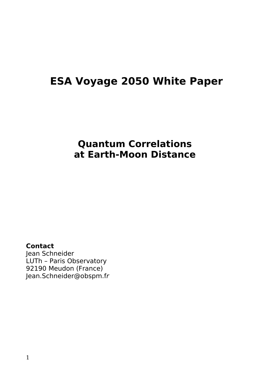# **ESA Voyage 2050 White Paper**

## **Quantum Correlations at Earth-Moon Distance**

#### **Contact**

Jean Schneider LUTh – Paris Observatory 92190 Meudon (France) Jean.Schneider@obspm.fr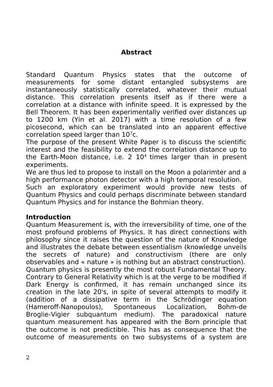### **Abstract**

Standard Quantum Physics states that the outcome of measurements for some distant entangled subsystems are instantaneously statistically correlated, whatever their mutual distance. This correlation presents itself as if there were a correlation at a distance with infinite speed. It is expressed by the Bell Theorem. It has been experimentally verified over distances up to 1200 km (Yin et al. 2017) with a time resolution of a few picosecond, which can be translated into an apparent effective correlation speed larger than  $10<sup>7</sup>c$ .

The purpose of the present White Paper is to discuss the scientific interest and the feasibility to extend the correlation distance up to the Earth-Moon distance, i.e.  $2 \ 10^4$  times larger than in present experiments.

We are thus led to propose to install on the Moon a polarimter and a high performance photon detector with a high temporal resolution.

Such an exploratory experiment would provide new tests of Quantum Physics and could perhaps discriminate between standard Quantum Physics and for instance the Bohmian theory.

#### **Introduction**

Quantum Measurement is, with the irreversibility of time, one of the most profound problems of Physics. It has direct connections with philosophy since it raises the question of the nature of Knowledge and illustrates the debate between essentialism (knowledge unveils the secrets of nature) and constructivism (there are only observables and « nature » is nothing but an abstract construction). Quantum physics is presently the most robust Fundamental Theory. Contrary to General Relativity which is at the verge to be modified if Dark Energy is confirmed, it has remain unchanged since its creation in the late 20's, in spite of several attempts to modify it (addition of a dissipative term in the Schrödinger equation (Hameroff-Nanopoulos), Spontaneous Localization, Bohm-de Broglie-Vigier subquantum medium). The paradoxical nature quantum measurement has appeared with the Born principle that the outcome is not predictible. This has as consequence that the outcome of measurements on two subsystems of a system are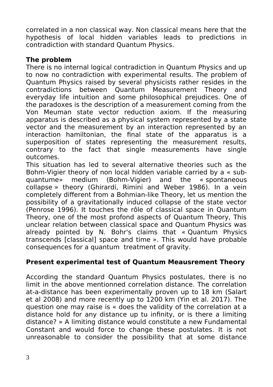correlated in a non classical way. Non classical means here that the hypothesis of local hidden variables leads to predictions in contradiction with standard Quantum Physics.

#### **The problem**

There is no internal logical contradiction in Quantum Physics and up to now no contradiction with experimental results. The problem of Quantum Physics raised by several physicists rather resides in the contradictions between Quantum Measurement Theory and everyday life intuition and some philosophical prejudices. One of the paradoxes is the description of a measurement coming from the Von Meuman state vector reduction axiom. If the measuring apparatus is described as a physical system represented by a state vector and the measurement by an interaction represented by an interaction hamiltonian, the final state of the apparatus is a superposition of states representing the measurement results, contrary to the fact that single measurements have single outcomes.

This situation has led to several alternative theories such as the Bohm-Vigier theory of non local hidden variable carried by a « subquantume» medium (Bohm-Vigier) and the « spontaneous collapse » theory (Ghirardi, Rimini and Weber 1986). In a vein completely different from a Bohmian-like Theory, let us mention the possibility of a gravitationally induced collapse of the state vector (Penrose 1996). It touches the rôle of classical space in Quantum Theory, one of the most profond aspects of Quantum Theory, This unclear relation between classical space and Quantum Physics was already pointed by N. Bohr's claims that « Quantum Physics transcends [classical] space and time ». This would have probable consequences for a quantum treatment of gravity.

## **Present experimental test of Quantum Meausrement Theory**

According the standard Quantum Physics postulates, there is no limit in the above mentionned correlation distance. The correlation at-a-distance has been experimentally proven up to 18 km (Salart et al 2008) and more recently up to 1200 km (Yin et al. 2017). The question one may raise is « does the validity of the correlation at a distance hold for any distance up tu infinity, or is there a limiting distance? » A limiting distance would constitute a new Fundamental Constant and would force to change these postulates. It is not unreasonable to consider the possibility that at some distance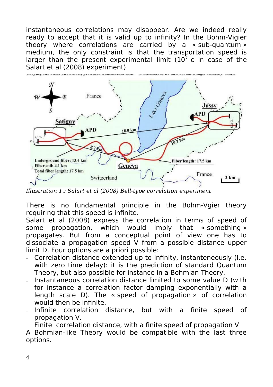instantaneous correlations may disappear. Are we indeed really ready to accept that it is valid up to infinity? In the Bohm-Vigier theory where correlations are carried by a « sub-quantum » medium, the only constraint is that the transportation speed is larger than the present experimental limit  $(10^7 \text{ c})$  in case of the Salart et al (2008) experiment).



*Illustration 1.: Salart et al (2008) Bell-type correlation experiment*

There is no fundamental principle in the Bohm-Vgier theory requiring that this speed is infinite.

Salart et al (2008) express the correlation in terms of speed of some propagation, which would imply that « something » propagates. But from a conceptual point of view one has to dissociate a propagation speed V from a possible distance upper limit D. Four options are a priori possible:

- Correlation distance extended up to infinity, instanteneously (i.e. with zero time delay): it is the prediction of standard Quantum Theory, but also possible for instance in a Bohmian Theory.
- Instantaneous correlation distance limited to some value D (with for instance a correlation factor damping exponentially with a length scale D). The « speed of propagation » of correlation would then be infinite.
- Infinite correlation distance, but with a finite speed of propagation V.
- Finite correlation distance, with a finite speed of propagation V

A Bohmian-like Theory would be compatible with the last three options.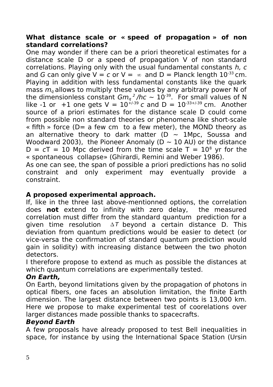#### **What distance scale or « speed of propagation » of non standard correlations?**

One may wonder if there can be a priori theoretical estimates for a distance scale D or a speed of propagation V of non standard correlations. Playing only with the usual fundamental constants h, c and G can only give  $V = c$  or  $V = \infty$  and  $D =$  Planck length  $10^{-33}$  cm. Playing in addition with less fundamental constants like the quark mass  $m_q$  allows to multiply these values by any arbitrary power N of the dimensionless constant  $Gm_q^2/hc \sim 10^{-39}$ . For small values of N like -1 or +1 one gets  $V = 10^{1/39}$  c and  $D = 10^{33+1/39}$  cm. Another source of a priori estimates for the distance scale D could come from possible non standard theories or phenomena like short-scale « fifth » force ( $D=$  a few cm to a few meter), the MOND theory as an alternative theory to dark matter ( $D \sim 1$ Mpc, Soussa and Woodward 2003), the Pioneer Anomaly ( $D \sim 10$  AU) or the distance  $D = cT = 10$  Mpc derived from the time scale T =  $10^8$  yr for the « spontaneous collapse» (Ghirardi, Remini and Weber 1986). As one can see, the span of possible a priori predictions has no solid constraint and only experiment may eventually provide a

## constraint.

#### **A proposed experimental approach.**

If, like in the three last above-mentionned options, the correlation does **not** extend to infinity with zero delay, the measured correlation must differ from the standard quantum prediction for a given time resolution  $\Delta T$  beyond a certain distance D. This deviation from quantum predictions would be easier to detect (or vice-versa the confirmation of standard quantum prediction would gain in solidity) with increasing distance between the two photon detectors.

I therefore propose to extend as much as possible the distances at which quantum correlations are experimentally tested.

#### **On Earth,**

On Earth, beyond limitations given by the propagation of photons in optical fibers, one faces an absolution limitation, the finite Earth dimension. The largest distance between two points is 13,000 km. Here we propose to make experimental test of coorelations over larger distances made possible thanks to spacecrafts.

#### **Beyond Earth**

A few proposals have already proposed to test Bell inequalities in space, for instance by using the International Space Station (Ursin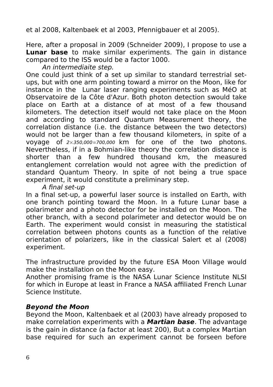et al 2008, Kaltenbaek et al 2003, Pfennigbauer et al 2005).

Here, after a proposal in 2009 (Schneider 2009), I propose to use a **Lunar base** to make similar experiments. The gain in distance compared to the ISS would be a factor 1000.

An intermediaite step.

One could just think of a set up similar to standard terrestrial setups, but with one arm pointing toward a mirror on the Moon, like for instance in the Lunar laser ranging experiments such as MéO at Observatoire de la Côte d'Azur. Both photon detection swould take place on Earth at a distance of at most of a few thousand kilometers. The detection itself would not take place on the Moon and according to standard Quantum Measurement theory, the correlation distance (i.e. the distance between the two detectors) would not be larger than a few thousand kilometers, in spite of a voyage of 2×350,000=700,000 km for one of the two photons. Nevertheless, if in a Bohmian-like theory the correlation distance is shorter than a few hundred thousand km, the measured entanglement correlation would not agree with the prediction of standard Quantum Theory. In spite of not being a true space experiment, it would constitute a preliminary step.

A final set-up

In a final set-up, a powerful laser source is installed on Earth, with one branch pointing toward the Moon. In a future Lunar base a polarimeter and a photo detector for be installed on the Moon. The other branch, with a second polarimeter and detector would be on Earth. The experiment would consist in measuring the statistical correlation between photons counts as a function of the relative orientation of polarizers, like in the classical Salert et al (2008) experiment.

The infrastructure provided by the future ESA Moon Village would make the installation on the Moon easy.

Another promising frame is the NASA Lunar Science Institute NLSI for which in Europe at least in France a NASA affiliated French Lunar Science Institute.

#### **Beyond the Moon**

Beyond the Moon, Kaltenbaek et al (2003) have already proposed to make correlation experiments with a **Martian base**. The advantage is the gain in distance (a factor at least 200), But a complex Martian base required for such an experiment cannot be forseen before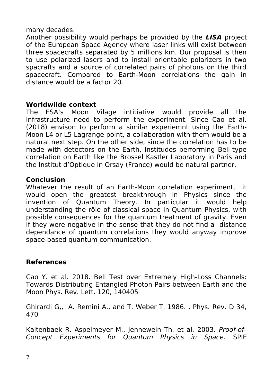#### many decades.

Another possibility would perhaps be provided by the **LISA** project of the European Space Agency where laser links will exist between three spacecrafts separated by 5 millions km. Our proposal is then to use polarized lasers and to install orientable polarizers in two spacrafts and a source of correlated pairs of photons on the third spacecraft. Compared to Earth-Moon correlations the gain in distance would be a factor 20.

#### **Worldwilde context**

The ESA's Moon Vilage intitiative would provide all the infrastructure need to perform the experiment. Since Cao et al. (2018) envison to perform a similar experiemnt using the Earth-Moon L4 or L5 Lagrange point, a collaboration with them would be a natural next step. On the other side, since the correlation has to be made with detectors on the Earth, Institudes performing Bell-type correlation on Earth like the Brossel Kastler Laboratory in Paris and the Institut d'Optique in Orsay (France) would be natural partner.

#### **Conclusion**

Whatever the result of an Earth-Moon correlation experiment, it would open the greatest breakthrough in Physics since the invention of Quantum Theory. In particular it would help understanding the rôle of classical space in Quantum Physics, with possible consequences for the quantum treatment of gravity. Even if they were negative in the sense that they do not find a distance dependance of quantum correlations they would anyway improve space-based quantum communication.

### **References**

Cao Y. et al. 2018. Bell Test over Extremely High-Loss Channels: Towards Distributing Entangled Photon Pairs between Earth and the Moon Phys. Rev. Lett. 120, 140405

Ghirardi G,, A. Remini A., and T. Weber T. 1986. , Phys. Rev. D 34, 470

Kaltenbaek R. Aspelmeyer M., Jennewein Th. et al. 2003. Proof-of-Concept Experiments for Quantum Physics in Space. SPIE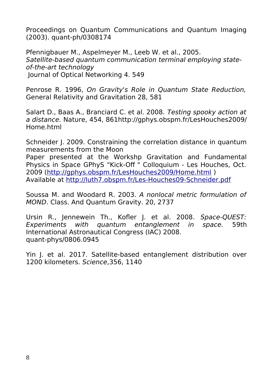Proceedings on Quantum Communications and Quantum Imaging (2003). quant-ph/0308174

Pfennigbauer M., Aspelmeyer M., Leeb W. et al., 2005. Satellite-based quantum communication terminal employing stateof-the-art technology Journal of Optical Networking 4. 549

Penrose R. 1996, On Gravity's Role in Quantum State Reduction, General Relativity and Gravitation 28, 581

Salart D., Baas A., Branciard C. et al. 2008. Testing spooky action at a distance. Nature, 454, 861http://gphys.obspm.fr/LesHouches2009/ Home.html

Schneider J. 2009. Constraining the correlation distance in quantum measurements from the Moon

Paper presented at the Workshp Gravitation and Fundamental Physics in Space GPhyS "Kick-Off " Colloquium - Les Houches, Oct. 2009 [\(http://gphys.obspm.fr/LesHouches2009/Home.html](http://gphys.obspm.fr/LesHouches2009/Home.html) ) Available at<http://luth7.obspm.fr/Les-Houches09-Schneider.pdf>

Soussa M. and Woodard R. 2003. A nonlocal metric formulation of MOND. Class. And Quantum Gravity. 20, 2737

Ursin R., Jennewein Th., Kofler J. et al. 2008. Space-QUEST: Experiments with quantum entanglement in space. 59th International Astronautical Congress (IAC) 2008. quant-phys/0806.0945

Yin J. et al. 2017. Satellite-based entanglement distribution over 1200 kilometers. Science,356, 1140